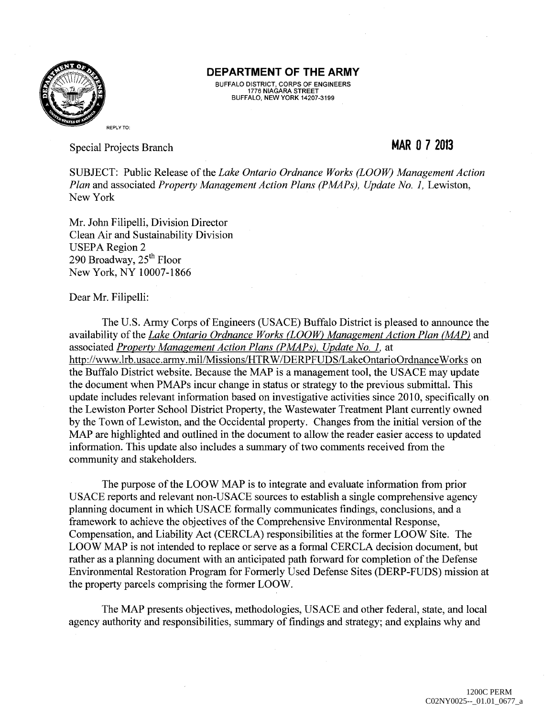

## **DEPARTMENT OF THE ARMY**

BUFFALO DISTRICT, CORPS OF ENGINEERS 1776 NIAGARA STREET BUFFALO, NEW YORK 14207-3199

Special Projects Branch

## **MAR 0 7 2013**

SUBJECT: Public Release of the *Lake Ontario Ordnance Works (LOOW) Management Action Plan and associated Property Management Action Plans (PMAPs), Update No. 1, Lewiston,* New York

Mr. John Filipelli, Division Director Clean Air and Sustainability Division **USEPA Region 2** 290 Broadway, 25<sup>th</sup> Floor New York, NY 10007-1866

Dear Mr. Filipelli:

The U.S. Army Corps of Engineers (USACE) Buffalo District is pleased to announce the availability of the *Lake Ontario Ordnance Works (LOOW) Management Action Plan (MAP)* and associated *Property Management Action Plans (PMAPs). Update No. 1.* at http://www.lrb.usace.army.mil/Missions/HTR W /DERPFUDS/LakeOntarioOrdnance Works on the Buffalo District website. Because the MAP is a management tool, the USACE may update the document when PMAPs incur change in status or strategy to the previous submittal. This update includes relevant information based on investigative activities since 2010, specifically on the Lewiston Porter School District Property, the Wastewater Treatment Plant currently owned by the Town of Lewiston, and the Occidental property. Changes from the initial version of the MAP are highlighted and outlined in the document to allow the reader easier access to updated information. This update also includes a summary of two comments received from the community and stakeholders.

The purpose of the LOOW MAP is to integrate and evaluate information from prior USACE reports and relevant non-USACE sources to establish a single comprehensive agency planning document in which USACE formally communicates findings, conclusions, and a framework to achieve the objectives of the Comprehensive Environmental Response, Compensation, and Liability Act (CERCLA) responsibilities at the former LOOW Site. The LOOW MAP is not intended to replace or serve as a formal CERCLA decision document, but rather as a planning document with an anticipated path forward for completion of the Defense Environmental Restoration Program for Formerly Used Defense Sites (DERP-FUDS) mission at the property parcels comprising the former LOOW.

The MAP presents objectives, methodologies, USACE and other federal, state, and local agency authority and responsibilities, summary of findings and strategy; and explains why and